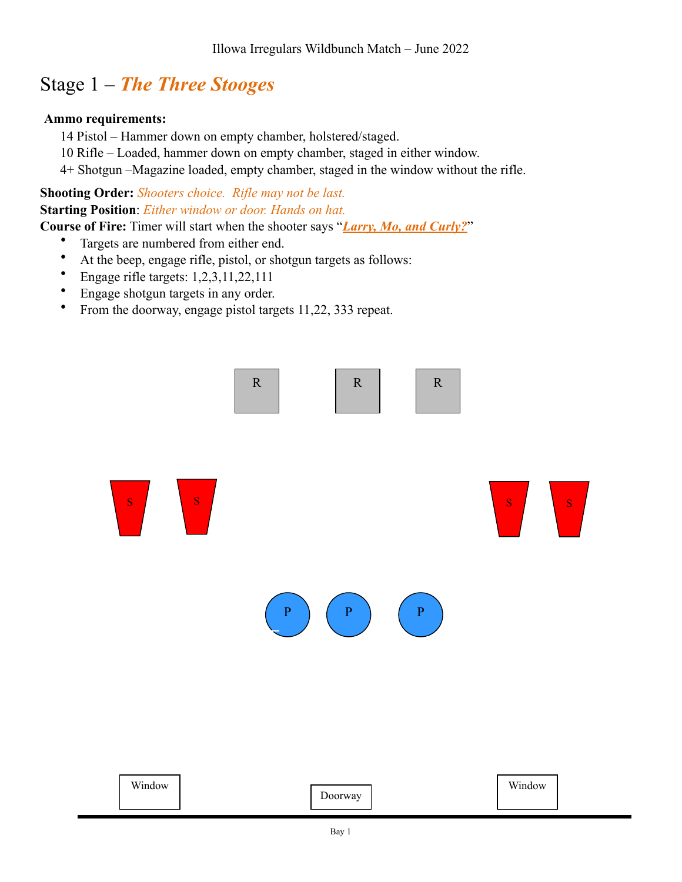# Stage 1 – *The Three Stooges*

### **Ammo requirements:**

- 14 Pistol Hammer down on empty chamber, holstered/staged.
- 10 Rifle Loaded, hammer down on empty chamber, staged in either window.
- 4+ Shotgun –Magazine loaded, empty chamber, staged in the window without the rifle.

**Shooting Order:** *Shooters choice. Rifle may not be last.* **Starting Position**: *Either window or door. Hands on hat.*

**Course of Fire:** Timer will start when the shooter says "*Larry, Mo, and Curly?*"

- Targets are numbered from either end.
- At the beep, engage rifle, pistol, or shotgun targets as follows:
- Engage rifle targets: 1,2,3,11,22,111
- Engage shotgun targets in any order.
- From the doorway, engage pistol targets 11,22, 333 repeat.

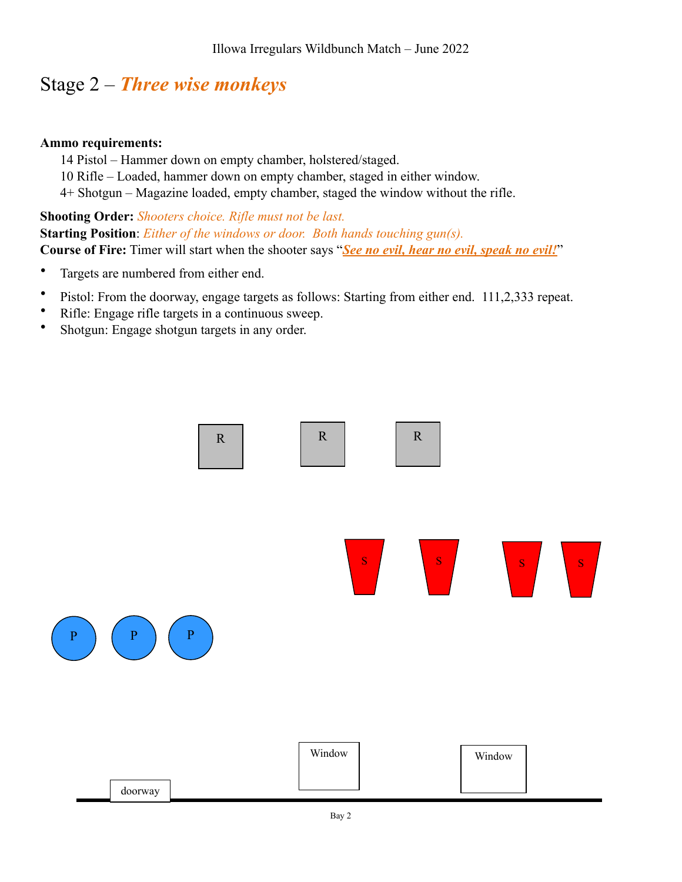## Stage 2 – *Three wise monkeys*

### **Ammo requirements:**

- 14 Pistol Hammer down on empty chamber, holstered/staged.
- 10 Rifle Loaded, hammer down on empty chamber, staged in either window.
- 4+ Shotgun Magazine loaded, empty chamber, staged the window without the rifle.

**Shooting Order:** *Shooters choice. Rifle must not be last.* **Starting Position**: *Either of the windows or door. Both hands touching gun(s).* **Course of Fire:** Timer will start when the shooter says "*See no evil, hear no evil, speak no evil!*"

- Targets are numbered from either end.
- Pistol: From the doorway, engage targets as follows: Starting from either end. 111,2,333 repeat.
- Rifle: Engage rifle targets in a continuous sweep.
- Shotgun: Engage shotgun targets in any order.

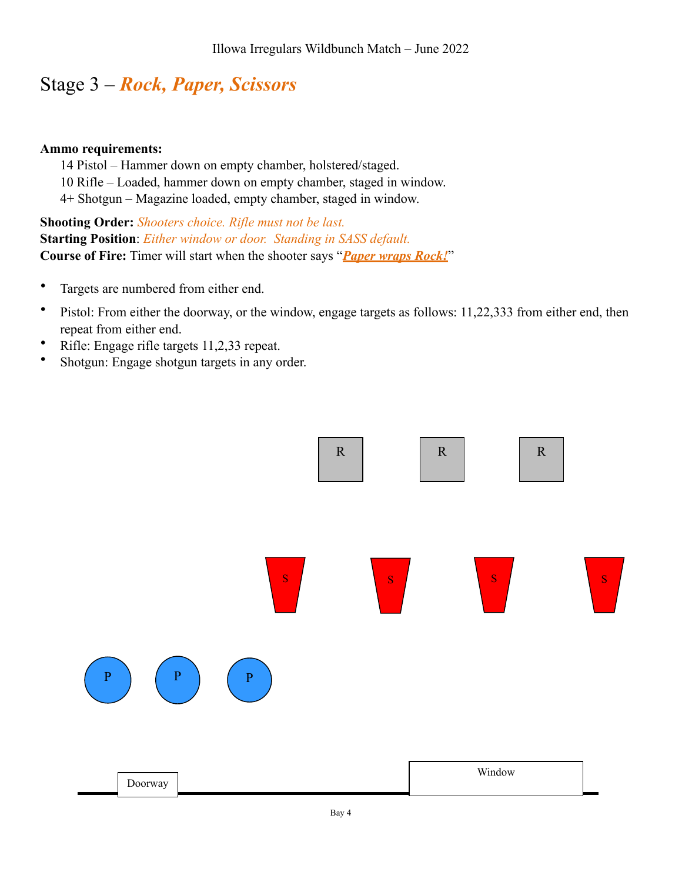## Stage 3 – *Rock, Paper, Scissors*

#### **Ammo requirements:**

14 Pistol – Hammer down on empty chamber, holstered/staged.

10 Rifle – Loaded, hammer down on empty chamber, staged in window.

4+ Shotgun – Magazine loaded, empty chamber, staged in window.

**Shooting Order:** *Shooters choice. Rifle must not be last.* **Starting Position**: *Either window or door. Standing in SASS default.* **Course of Fire:** Timer will start when the shooter says "*Paper wraps Rock!*"

- Targets are numbered from either end.
- Pistol: From either the doorway, or the window, engage targets as follows: 11,22,333 from either end, then repeat from either end.
- Rifle: Engage rifle targets 11,2,33 repeat.
- Shotgun: Engage shotgun targets in any order.

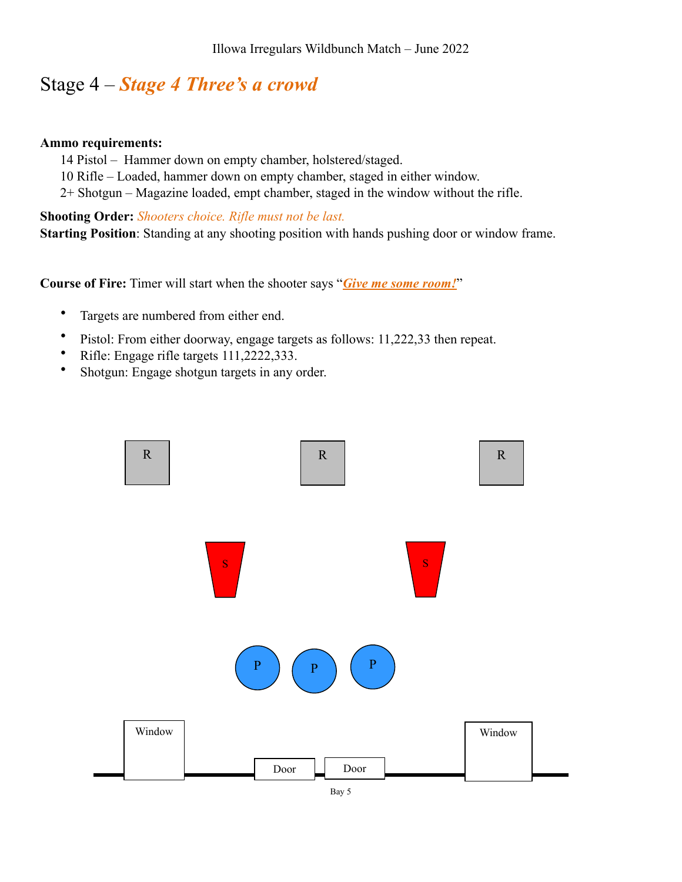### Stage 4 – *Stage 4 Three's a crowd*

#### **Ammo requirements:**

- 14 Pistol Hammer down on empty chamber, holstered/staged.
- 10 Rifle Loaded, hammer down on empty chamber, staged in either window.
- 2+ Shotgun Magazine loaded, empt chamber, staged in the window without the rifle.

**Shooting Order:** *Shooters choice. Rifle must not be last.* **Starting Position**: Standing at any shooting position with hands pushing door or window frame.

**Course of Fire:** Timer will start when the shooter says "*Give me some room!*"

- Targets are numbered from either end.
- Pistol: From either doorway, engage targets as follows: 11,222,33 then repeat.
- Rifle: Engage rifle targets 111,2222,333.
- Shotgun: Engage shotgun targets in any order.